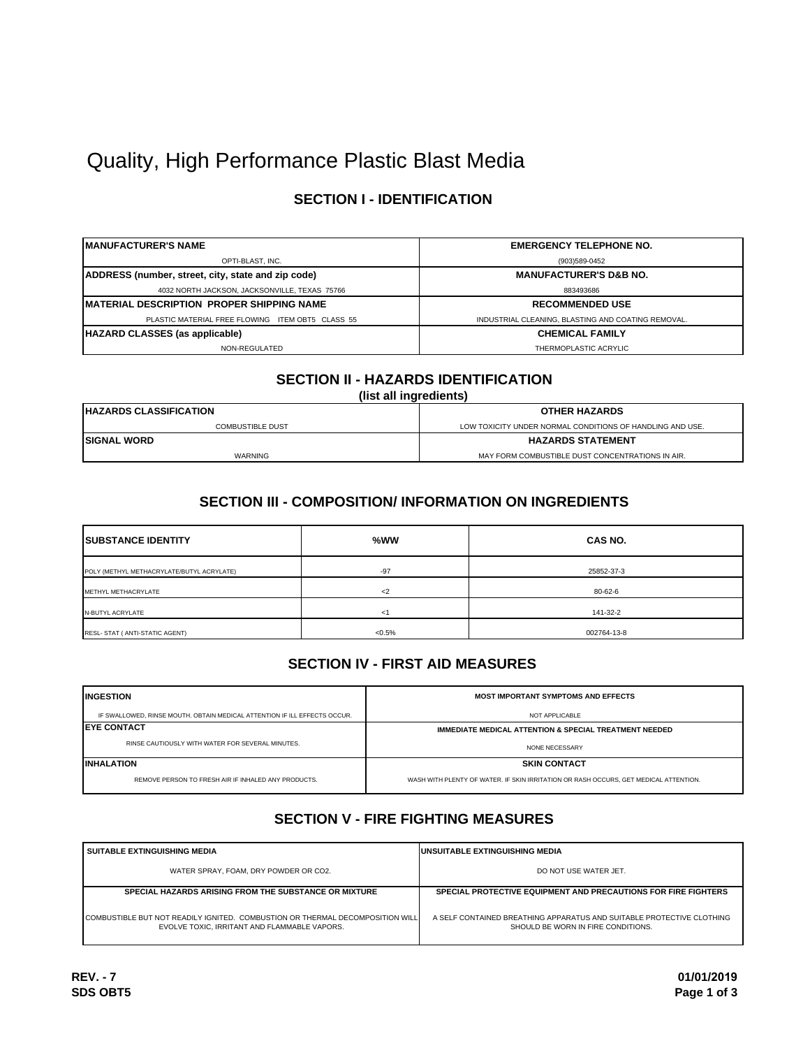# Quality, High Performance Plastic Blast Media

# **SECTION I - IDENTIFICATION**

| IMANUFACTURER'S NAME                               | <b>EMERGENCY TELEPHONE NO.</b>                     |
|----------------------------------------------------|----------------------------------------------------|
| OPTI-BLAST, INC.                                   | (903)589-0452                                      |
| ADDRESS (number, street, city, state and zip code) | <b>MANUFACTURER'S D&amp;B NO.</b>                  |
| 4032 NORTH JACKSON, JACKSONVILLE, TEXAS 75766      | 883493686                                          |
| IMATERIAL DESCRIPTION PROPER SHIPPING NAME         | <b>RECOMMENDED USE</b>                             |
| PLASTIC MATERIAL FREE FLOWING ITEM OBT5 CLASS 55   | INDUSTRIAL CLEANING. BLASTING AND COATING REMOVAL. |
| <b>HAZARD CLASSES (as applicable)</b>              | <b>CHEMICAL FAMILY</b>                             |
| NON-REGULATED                                      | THERMOPLASTIC ACRYLIC                              |

# **SECTION II - HAZARDS IDENTIFICATION**

**(list all ingredients)**

| <b>IHAZARDS CLASSIFICATION</b> | <b>OTHER HAZARDS</b>                                      |  |
|--------------------------------|-----------------------------------------------------------|--|
| <b>COMBUSTIBLE DUST</b>        | LOW TOXICITY UNDER NORMAL CONDITIONS OF HANDLING AND USE. |  |
| <b>ISIGNAL WORD</b>            | <b>HAZARDS STATEMENT</b>                                  |  |
| WARNING                        | MAY FORM COMBUSTIBLE DUST CONCENTRATIONS IN AIR.          |  |

### **SECTION III - COMPOSITION/ INFORMATION ON INGREDIENTS**

| <b>ISUBSTANCE IDENTITY</b>                | %WW       | <b>CAS NO.</b> |  |
|-------------------------------------------|-----------|----------------|--|
| POLY (METHYL METHACRYLATE/BUTYL ACRYLATE) | $-97$     | 25852-37-3     |  |
| METHYL METHACRYLATE                       | $<$ 2     | 80-62-6        |  |
| N-BUTYL ACRYLATE                          | $<$ 1     | 141-32-2       |  |
| RESL- STAT ( ANTI-STATIC AGENT)           | $< 0.5\%$ | 002764-13-8    |  |

### **SECTION IV - FIRST AID MEASURES**

| <b>INGESTION</b>                                                          | <b>MOST IMPORTANT SYMPTOMS AND EFFECTS</b>                                           |
|---------------------------------------------------------------------------|--------------------------------------------------------------------------------------|
| IF SWALLOWED, RINSE MOUTH. OBTAIN MEDICAL ATTENTION IF ILL EFFECTS OCCUR. | NOT APPLICABLE                                                                       |
| <b>IEYE CONTACT</b>                                                       | <b>IMMEDIATE MEDICAL ATTENTION &amp; SPECIAL TREATMENT NEEDED</b>                    |
| RINSE CAUTIOUSLY WITH WATER FOR SEVERAL MINUTES.                          | NONE NECESSARY                                                                       |
| <b>INHALATION</b>                                                         | <b>SKIN CONTACT</b>                                                                  |
| REMOVE PERSON TO FRESH AIR IF INHALED ANY PRODUCTS.                       | WASH WITH PLENTY OF WATER. IF SKIN IRRITATION OR RASH OCCURS. GET MEDICAL ATTENTION. |

# **SECTION V - FIRE FIGHTING MEASURES**

| <b>SUITABLE EXTINGUISHING MEDIA</b>                                                                                           | <b>IUNSUITABLE EXTINGUISHING MEDIA</b>                                                                      |  |
|-------------------------------------------------------------------------------------------------------------------------------|-------------------------------------------------------------------------------------------------------------|--|
| WATER SPRAY, FOAM, DRY POWDER OR CO2.                                                                                         | DO NOT USE WATER JET.                                                                                       |  |
| <b>SPECIAL HAZARDS ARISING FROM THE SUBSTANCE OR MIXTURE</b>                                                                  | SPECIAL PROTECTIVE EQUIPMENT AND PRECAUTIONS FOR FIRE FIGHTERS                                              |  |
| COMBUSTIBLE BUT NOT READILY IGNITED. COMBUSTION OR THERMAL DECOMPOSITION WILL<br>EVOLVE TOXIC. IRRITANT AND FLAMMABLE VAPORS. | A SELF CONTAINED BREATHING APPARATUS AND SUITABLE PROTECTIVE CLOTHING<br>SHOULD BE WORN IN FIRE CONDITIONS. |  |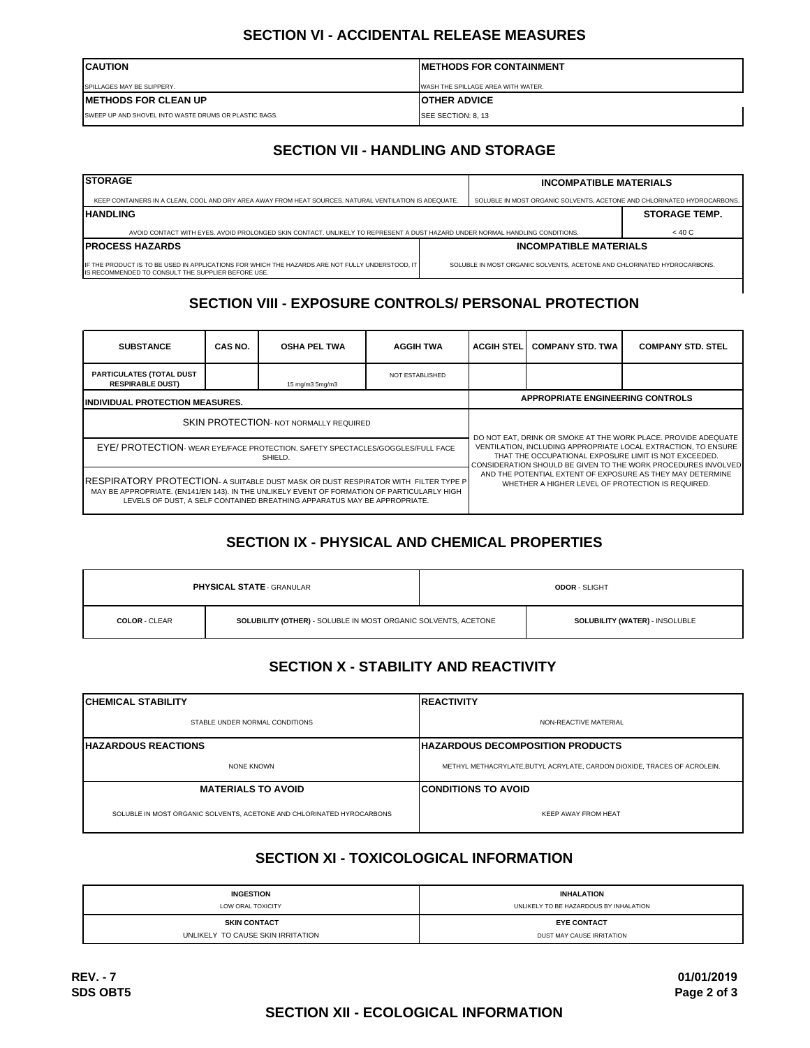#### **SECTION VI - ACCIDENTAL RELEASE MEASURES**

| <b>ICAUTION</b>                                        | <b>IMETHODS FOR CONTAINMENT</b>    |
|--------------------------------------------------------|------------------------------------|
| SPILLAGES MAY BE SLIPPERY.                             | WASH THE SPILLAGE AREA WITH WATER. |
| <b>IMETHODS FOR CLEAN UP</b>                           | <b>IOTHER ADVICE</b>               |
| ISWEEP UP AND SHOVEL INTO WASTE DRUMS OR PLASTIC BAGS. | SEE SECTION: 8, 13                 |

# **SECTION VII - HANDLING AND STORAGE**

| <b>ISTORAGE</b>                                                                                                                                       |  | <b>INCOMPATIBLE MATERIALS</b>                                           |                      |
|-------------------------------------------------------------------------------------------------------------------------------------------------------|--|-------------------------------------------------------------------------|----------------------|
| KEEP CONTAINERS IN A CLEAN, COOL AND DRY AREA AWAY FROM HEAT SOURCES. NATURAL VENTILATION IS ADEQUATE.                                                |  | SOLUBLE IN MOST ORGANIC SOLVENTS. ACETONE AND CHLORINATED HYDROCARBONS. |                      |
| <b>HANDLING</b>                                                                                                                                       |  |                                                                         | <b>STORAGE TEMP.</b> |
| AVOID CONTACT WITH EYES, AVOID PROLONGED SKIN CONTACT, UNLIKELY TO REPRESENT A DUST HAZARD UNDER NORMAL HANDLING CONDITIONS.                          |  |                                                                         | < 40 C               |
| <b>IPROCESS HAZARDS</b>                                                                                                                               |  | <b>INCOMPATIBLE MATERIALS</b>                                           |                      |
| IF THE PRODUCT IS TO BE USED IN APPLICATIONS FOR WHICH THE HAZARDS ARE NOT FULLY UNDERSTOOD. IT<br>IS RECOMMENDED TO CONSULT THE SUPPLIER BEFORE USE. |  | SOLUBLE IN MOST ORGANIC SOLVENTS. ACETONE AND CHLORINATED HYDROCARBONS. |                      |

# **SECTION VIII - EXPOSURE CONTROLS/ PERSONAL PROTECTION**

| <b>SUBSTANCE</b>                                                                                                                                                                                                                                              | CAS NO. | <b>OSHA PEL TWA</b>                                                                                                                                                                                                                                                                                                                                                           | <b>AGGIH TWA</b>       | <b>ACGIH STEL</b> | <b>COMPANY STD. TWA</b> | <b>COMPANY STD. STEL</b> |
|---------------------------------------------------------------------------------------------------------------------------------------------------------------------------------------------------------------------------------------------------------------|---------|-------------------------------------------------------------------------------------------------------------------------------------------------------------------------------------------------------------------------------------------------------------------------------------------------------------------------------------------------------------------------------|------------------------|-------------------|-------------------------|--------------------------|
| <b>PARTICULATES (TOTAL DUST</b><br><b>RESPIRABLE DUST)</b>                                                                                                                                                                                                    |         | 15 mg/m3 5mg/m3                                                                                                                                                                                                                                                                                                                                                               | <b>NOT ESTABLISHED</b> |                   |                         |                          |
| <b>INDIVIDUAL PROTECTION MEASURES.</b>                                                                                                                                                                                                                        |         | <b>APPROPRIATE ENGINEERING CONTROLS</b>                                                                                                                                                                                                                                                                                                                                       |                        |                   |                         |                          |
| <b>SKIN PROTECTION- NOT NORMALLY REQUIRED</b>                                                                                                                                                                                                                 |         | DO NOT EAT, DRINK OR SMOKE AT THE WORK PLACE. PROVIDE ADEQUATE<br>VENTILATION. INCLUDING APPROPRIATE LOCAL EXTRACTION. TO ENSURE<br>THAT THE OCCUPATIONAL EXPOSURE LIMIT IS NOT EXCEEDED.<br>CONSIDERATION SHOULD BE GIVEN TO THE WORK PROCEDURES INVOLVED<br>AND THE POTENTIAL EXTENT OF EXPOSURE AS THEY MAY DETERMINE<br>WHETHER A HIGHER LEVEL OF PROTECTION IS REQUIRED. |                        |                   |                         |                          |
| EYE/ PROTECTION- WEAR EYE/FACE PROTECTION. SAFETY SPECTACLES/GOGGLES/FULL FACE<br>SHIELD.                                                                                                                                                                     |         |                                                                                                                                                                                                                                                                                                                                                                               |                        |                   |                         |                          |
| RESPIRATORY PROTECTION- A SUITABLE DUST MASK OR DUST RESPIRATOR WITH FILTER TYPE P<br>MAY BE APPROPRIATE. (EN141/EN 143). IN THE UNLIKELY EVENT OF FORMATION OF PARTICULARLY HIGH<br>LEVELS OF DUST. A SELF CONTAINED BREATHING APPARATUS MAY BE APPROPRIATE. |         |                                                                                                                                                                                                                                                                                                                                                                               |                        |                   |                         |                          |

# **SECTION IX - PHYSICAL AND CHEMICAL PROPERTIES**

|                                                                                        | <b>PHYSICAL STATE - GRANULAR</b> |                                | <b>ODOR - SLIGHT</b> |
|----------------------------------------------------------------------------------------|----------------------------------|--------------------------------|----------------------|
| SOLUBILITY (OTHER) - SOLUBLE IN MOST ORGANIC SOLVENTS, ACETONE<br><b>COLOR - CLEAR</b> |                                  | SOLUBILITY (WATER) - INSOLUBLE |                      |

# **SECTION X - STABILITY AND REACTIVITY**

| <b>ICHEMICAL STABILITY</b><br><b>IREACTIVITY</b>                      |                                                                         |  |
|-----------------------------------------------------------------------|-------------------------------------------------------------------------|--|
| STABLE UNDER NORMAL CONDITIONS                                        | NON-REACTIVE MATERIAL                                                   |  |
| <b>IHAZARDOUS REACTIONS</b>                                           | <b>IHAZARDOUS DECOMPOSITION PRODUCTS</b>                                |  |
| NONE KNOWN                                                            | METHYL METHACRYLATE.BUTYL ACRYLATE, CARDON DIOXIDE, TRACES OF ACROLEIN. |  |
| <b>MATERIALS TO AVOID</b>                                             | <b>ICONDITIONS TO AVOID</b>                                             |  |
| SOLUBLE IN MOST ORGANIC SOLVENTS, ACETONE AND CHLORINATED HYROCARBONS | <b>KEEP AWAY FROM HEAT</b>                                              |  |

# **SECTION XI - TOXICOLOGICAL INFORMATION**

| <b>INGESTION</b>                  | <b>INHALATION</b>                      |
|-----------------------------------|----------------------------------------|
| LOW ORAL TOXICITY                 | UNLIKELY TO BE HAZARDOUS BY INHALATION |
| <b>SKIN CONTACT</b>               | <b>EYE CONTACT</b>                     |
| UNLIKELY TO CAUSE SKIN IRRITATION | DUST MAY CAUSE IRRITATION              |